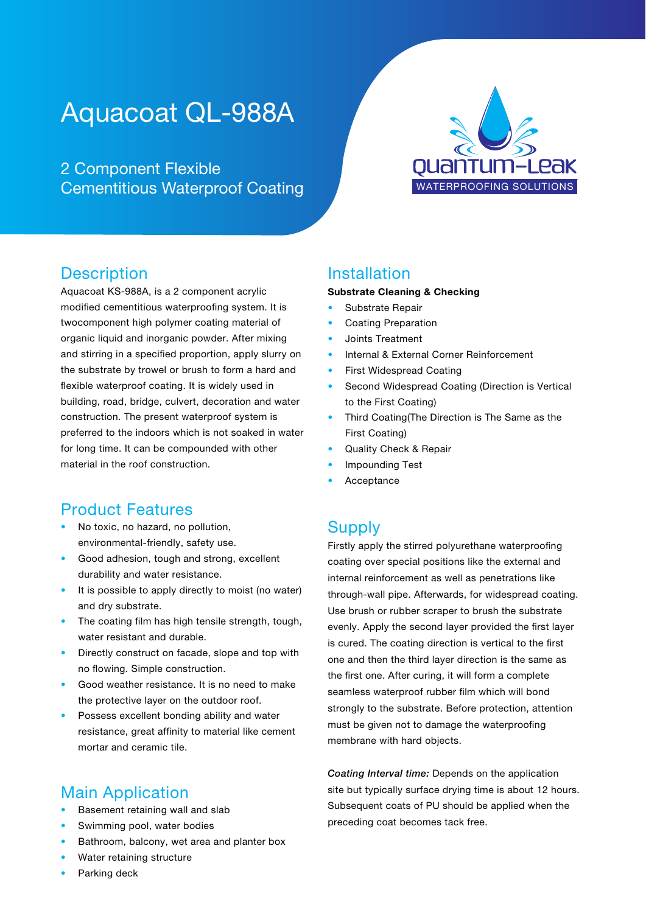# Aquacoat QL-988A

2 Component Flexible Cementitious Waterproof Coating



#### **Description**

Aquacoat KS-988A, is a 2 component acrylic modified cementitious waterproofing system. It is twocomponent high polymer coating material of organic liquid and inorganic powder. After mixing and stirring in a specified proportion, apply slurry on the substrate by trowel or brush to form a hard and flexible waterproof coating. It is widely used in building, road, bridge, culvert, decoration and water construction. The present waterproof system is preferred to the indoors which is not soaked in water for long time. It can be compounded with other material in the roof construction.

#### Product Features

- No toxic, no hazard, no pollution, environmental-friendly, safety use.
- Good adhesion, tough and strong, excellent durability and water resistance.
- It is possible to apply directly to moist (no water) and dry substrate.
- The coating film has high tensile strength, tough, water resistant and durable.
- Directly construct on facade, slope and top with no flowing. Simple construction.
- Good weather resistance. It is no need to make the protective layer on the outdoor roof.
- Possess excellent bonding ability and water resistance, great affinity to material like cement mortar and ceramic tile.

#### Main Application

- Basement retaining wall and slab
- Swimming pool, water bodies
- Bathroom, balcony, wet area and planter box
- Water retaining structure
- Parking deck

#### Installation

#### Substrate Cleaning & Checking

- Substrate Repair
- Coating Preparation
- Joints Treatment
- Internal & External Corner Reinforcement
- **First Widespread Coating**
- Second Widespread Coating (Direction is Vertical to the First Coating)
- Third Coating(The Direction is The Same as the First Coating)
- Quality Check & Repair
- Impounding Test
- **Acceptance**

#### **Supply**

Firstly apply the stirred polyurethane waterproofing coating over special positions like the external and internal reinforcement as well as penetrations like through-wall pipe. Afterwards, for widespread coating. Use brush or rubber scraper to brush the substrate evenly. Apply the second layer provided the first layer is cured. The coating direction is vertical to the first one and then the third layer direction is the same as the first one. After curing, it will form a complete seamless waterproof rubber film which will bond strongly to the substrate. Before protection, attention must be given not to damage the waterproofing membrane with hard objects.

*Coating Interval time:* Depends on the application site but typically surface drying time is about 12 hours. Subsequent coats of PU should be applied when the preceding coat becomes tack free.